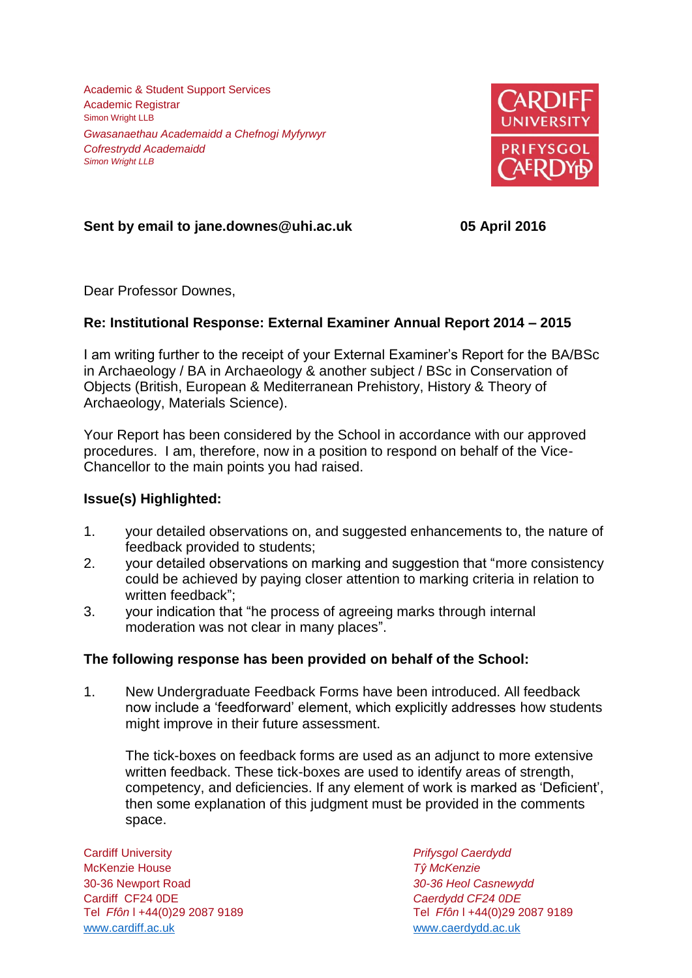Academic & Student Support Services Academic Registrar Simon Wright LLB *Gwasanaethau Academaidd a Chefnogi Myfyrwyr Cofrestrydd Academaidd Simon Wright LLB*



# **Sent by email to jane.downes@uhi.ac.uk 05 April 2016**

Dear Professor Downes,

## **Re: Institutional Response: External Examiner Annual Report 2014 – 2015**

I am writing further to the receipt of your External Examiner's Report for the BA/BSc in Archaeology / BA in Archaeology & another subject / BSc in Conservation of Objects (British, European & Mediterranean Prehistory, History & Theory of Archaeology, Materials Science).

Your Report has been considered by the School in accordance with our approved procedures. I am, therefore, now in a position to respond on behalf of the Vice-Chancellor to the main points you had raised.

### **Issue(s) Highlighted:**

- 1. your detailed observations on, and suggested enhancements to, the nature of feedback provided to students;
- 2. your detailed observations on marking and suggestion that "more consistency could be achieved by paying closer attention to marking criteria in relation to written feedback";
- 3. your indication that "he process of agreeing marks through internal moderation was not clear in many places".

### **The following response has been provided on behalf of the School:**

1. New Undergraduate Feedback Forms have been introduced. All feedback now include a 'feedforward' element, which explicitly addresses how students might improve in their future assessment.

The tick-boxes on feedback forms are used as an adjunct to more extensive written feedback. These tick-boxes are used to identify areas of strength, competency, and deficiencies. If any element of work is marked as 'Deficient', then some explanation of this judgment must be provided in the comments space.

Cardiff University *Prifysgol Caerdydd* McKenzie House *Tŷ McKenzie* 30-36 Newport Road *30-36 Heol Casnewydd* Cardiff CF24 0DE *Caerdydd CF24 0DE* [www.cardiff.ac.uk](http://www.cardiff.ac.uk/) www.cardiff.ac.uk

Tel *Ffôn* l +44(0)29 2087 9189 Tel *Ffôn* l +44(0)29 2087 9189